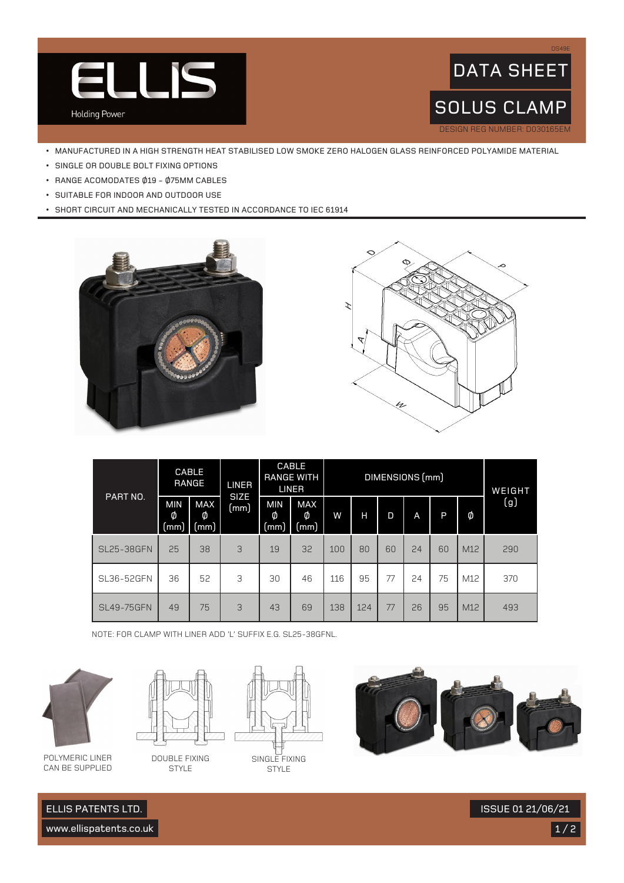



- MANUFACTURED IN A HIGH STRENGTH HEAT STABILISED LOW SMOKE ZERO HALOGEN GLASS REINFORCED POLYAMIDE MATERIAL
- SINGLE OR DOUBLE BOLT FIXING OPTIONS
- RANGE ACOMODATES Ø19 Ø75MM CABLES
- SUITABLE FOR INDOOR AND OUTDOOR USE
- SHORT CIRCUIT AND MECHANICALLY TESTED IN ACCORDANCE TO IEC 61914





| PART NO.          |                         | <b>CABLE</b><br><b>RANGE</b> | <b>LINER</b><br><b>SIZE</b> |                         | <b>CABLE</b><br><b>RANGE WITH</b><br><b>LINER</b> |     |     |    | DIMENSIONS (mm) |    |     | WEIGHT |
|-------------------|-------------------------|------------------------------|-----------------------------|-------------------------|---------------------------------------------------|-----|-----|----|-----------------|----|-----|--------|
|                   | <b>MIN</b><br>Ø<br>(mm) | MAX<br>Ø<br>(mm)             | (mm)                        | <b>MIN</b><br>Ø<br>(mm) | MAX<br>Ø<br>(mm                                   | W   | н   | D  | A               | P  | Ø   | (g)    |
| <b>SL25-38GFN</b> | 25                      | 38                           | 3                           | 19                      | 32                                                | 100 | 80  | 60 | 24              | 60 | M12 | 290    |
| SL36-52GFN        | 36                      | 52                           | 3                           | 30                      | 46                                                | 116 | 95  | 77 | 24              | 75 | M12 | 370    |
| <b>SL49-75GFN</b> | 49                      | 75                           | 3                           | 43                      | 69                                                | 138 | 124 | 77 | 26              | 95 | M12 | 493    |

NOTE: FOR CLAMP WITH LINER ADD 'L' SUFFIX E.G. SL25-38GFNL.



POLYMERIC LINER CAN BE SUPPLIED



DOUBLE FIXING STYLE



**STYLE** 



www.ellispatents.co.uk

ELLIS PATENTS LTD.